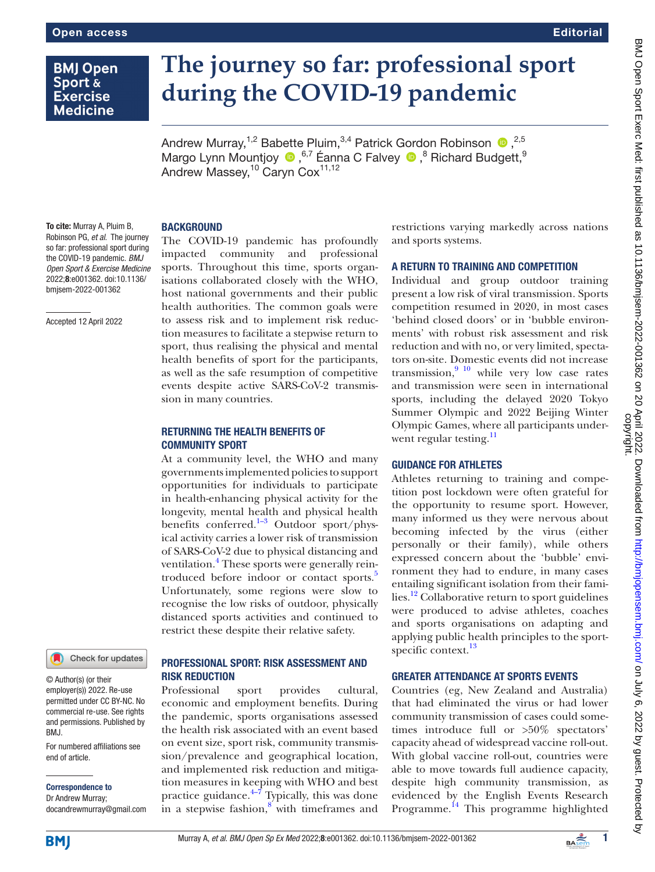# **BMJ Open Sport & Exercise Medicine**

# **The journey so far: professional sport during the COVID-19 pandemic**

AndrewMurray,<sup>1,2</sup> Babette Pluim,<sup>3,4</sup> Patrick Gordon Robinson  $\bullet$ ,<sup>2,5</sup> MargoLynn Mountjoy <sup>1,6,7</sup> Éanna C Falvey <sup>10</sup>,<sup>8</sup> Richard Budgett, <sup>9</sup> Andrew Massey, <sup>10</sup> Caryn Cox<sup>11,12</sup>

#### To cite: Murray A, Pluim B, Robinson PG, *et al*. The journey so far: professional sport during the COVID-19 pandemic. *BMJ Open Sport & Exercise Medicine*

2022;8:e001362. doi:10.1136/ bmjsem-2022-001362

Accepted 12 April 2022



© Author(s) (or their employer(s)) 2022. Re-use permitted under CC BY-NC. No commercial re-use. See rights and permissions. Published by BMJ.

For numbered affiliations see end of article.

Correspondence to

Dr Andrew Murray; docandrewmurray@gmail.com

# **BACKGROUND**

The COVID-19 pandemic has profoundly impacted community and professional sports. Throughout this time, sports organisations collaborated closely with the WHO, host national governments and their public health authorities. The common goals were to assess risk and to implement risk reduction measures to facilitate a stepwise return to sport, thus realising the physical and mental health benefits of sport for the participants, as well as the safe resumption of competitive events despite active SARS-CoV-2 transmission in many countries.

### RETURNING THE HEALTH BENEFITS OF COMMUNITY SPORT

At a community level, the WHO and many governments implemented policies to support opportunities for individuals to participate in health-enhancing physical activity for the longevity, mental health and physical health benefits conferred.<sup>1-3</sup> Outdoor sport/physical activity carries a lower risk of transmission of SARS-CoV-2 due to physical distancing and ventilation.<sup>[4](#page-1-1)</sup> These sports were generally reintroduced before indoor or contact sports.<sup>3</sup> Unfortunately, some regions were slow to recognise the low risks of outdoor, physically distanced sports activities and continued to restrict these despite their relative safety.

# PROFESSIONAL SPORT: RISK ASSESSMENT AND RISK REDUCTION

Professional sport provides cultural, economic and employment benefits. During the pandemic, sports organisations assessed the health risk associated with an event based on event size, sport risk, community transmission/prevalence and geographical location, and implemented risk reduction and mitigation measures in keeping with WHO and best practice guidance. $4\frac{4}{7}$  Typically, this was done in a stepwise fashion, $8$  with timeframes and restrictions varying markedly across nations and sports systems.

## A RETURN TO TRAINING AND COMPETITION

Individual and group outdoor training present a low risk of viral transmission. Sports competition resumed in 2020, in most cases 'behind closed doors' or in 'bubble environments' with robust risk assessment and risk reduction and with no, or very limited, spectators on-site. Domestic events did not increase transmission, $9^{10}$  while very low case rates and transmission were seen in international sports, including the delayed 2020 Tokyo Summer Olympic and 2022 Beijing Winter Olympic Games, where all participants underwent regular testing.<sup>11</sup>

# GUIDANCE FOR ATHLETES

Athletes returning to training and competition post lockdown were often grateful for the opportunity to resume sport. However, many informed us they were nervous about becoming infected by the virus (either personally or their family), while others expressed concern about the 'bubble' environment they had to endure, in many cases entailing significant isolation from their families.<sup>12</sup> Collaborative return to sport guidelines were produced to advise athletes, coaches and sports organisations on adapting and applying public health principles to the sport-specific context.<sup>[13](#page-2-1)</sup>

# GREATER ATTENDANCE AT SPORTS EVENTS

Countries (eg, New Zealand and Australia) that had eliminated the virus or had lower community transmission of cases could sometimes introduce full or >50% spectators' capacity ahead of widespread vaccine roll-out. With global vaccine roll-out, countries were able to move towards full audience capacity, despite high community transmission, as evidenced by the English Events Research Programme.<sup>[14](#page-2-2)</sup> This programme highlighted

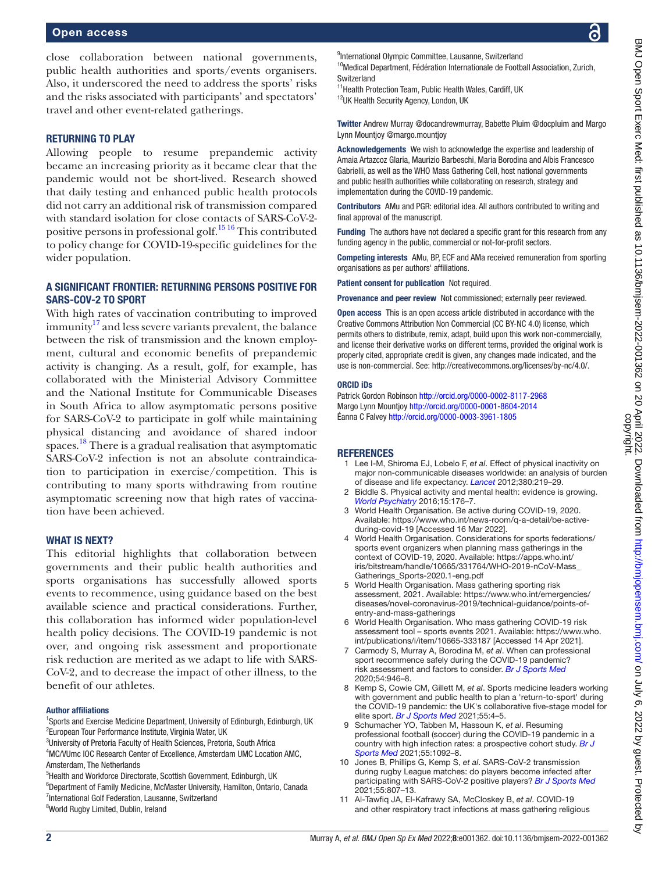#### Open access

#### RETURNING TO PLAY

Allowing people to resume prepandemic activity became an increasing priority as it became clear that the pandemic would not be short-lived. Research showed that daily testing and enhanced public health protocols did not carry an additional risk of transmission compared with standard isolation for close contacts of SARS-CoV-2 positive persons in professional golf.<sup>1516</sup> This contributed to policy change for COVID-19-specific guidelines for the wider population.

# A SIGNIFICANT FRONTIER: RETURNING PERSONS POSITIVE FOR SARS-COV-2 TO SPORT

With high rates of vaccination contributing to improved immunity $17$  and less severe variants prevalent, the balance between the risk of transmission and the known employment, cultural and economic benefits of prepandemic activity is changing. As a result, golf, for example, has collaborated with the Ministerial Advisory Committee and the National Institute for Communicable Diseases in South Africa to allow asymptomatic persons positive for SARS-CoV-2 to participate in golf while maintaining physical distancing and avoidance of shared indoor spaces.<sup>18</sup> There is a gradual realisation that asymptomatic SARS-CoV-2 infection is not an absolute contraindication to participation in exercise/competition. This is contributing to many sports withdrawing from routine asymptomatic screening now that high rates of vaccination have been achieved.

#### WHAT IS NEXT?

This editorial highlights that collaboration between governments and their public health authorities and sports organisations has successfully allowed sports events to recommence, using guidance based on the best available science and practical considerations. Further, this collaboration has informed wider population-level health policy decisions. The COVID-19 pandemic is not over, and ongoing risk assessment and proportionate risk reduction are merited as we adapt to life with SARS-CoV-2, and to decrease the impact of other illness, to the benefit of our athletes.

#### Author affiliations

<sup>1</sup>Sports and Exercise Medicine Department, University of Edinburgh, Edinburgh, UK <sup>2</sup>European Tour Performance Institute, Virginia Water, UK

<sup>3</sup>University of Pretoria Faculty of Health Sciences, Pretoria, South Africa

4 MC/VUmc IOC Research Center of Excellence, Amsterdam UMC Location AMC, Amsterdam, The Netherlands

<sup>5</sup>Health and Workforce Directorate, Scottish Government, Edinburgh, UK

6 Department of Family Medicine, McMaster University, Hamilton, Ontario, Canada <sup>7</sup>International Golf Federation, Lausanne, Switzerland <sup>8</sup>World Rugby Limited, Dublin, Ireland

<sup>9</sup>International Olympic Committee, Lausanne, Switzerland <sup>10</sup>Medical Department, Fédération Internationale de Football Association, Zurich,

**Switzerland** 

<sup>11</sup> Health Protection Team, Public Health Wales, Cardiff, UK 12UK Health Security Agency, London, UK

Twitter Andrew Murray [@docandrewmurray,](https://twitter.com/docandrewmurray) Babette Pluim [@docpluim](https://twitter.com/docpluim) and Margo Lynn Mountjoy [@margo.mountjoy](https://twitter.com/margo.mountjoy)

Acknowledgements We wish to acknowledge the expertise and leadership of Amaia Artazcoz Glaria, Maurizio Barbeschi, Maria Borodina and Albis Francesco Gabrielli, as well as the WHO Mass Gathering Cell, host national governments and public health authorities while collaborating on research, strategy and implementation during the COVID-19 pandemic.

Contributors AMu and PGR: editorial idea. All authors contributed to writing and final approval of the manuscript.

Funding The authors have not declared a specific grant for this research from any funding agency in the public, commercial or not-for-profit sectors.

Competing interests AMu, BP, ECF and AMa received remuneration from sporting organisations as per authors' affiliations.

Patient consent for publication Not required.

Provenance and peer review Not commissioned; externally peer reviewed.

Open access This is an open access article distributed in accordance with the Creative Commons Attribution Non Commercial (CC BY-NC 4.0) license, which permits others to distribute, remix, adapt, build upon this work non-commercially, and license their derivative works on different terms, provided the original work is properly cited, appropriate credit is given, any changes made indicated, and the use is non-commercial. See:<http://creativecommons.org/licenses/by-nc/4.0/>.

#### ORCID iDs

Patrick Gordon Robinson<http://orcid.org/0000-0002-8117-2968> Margo Lynn Mountjoy <http://orcid.org/0000-0001-8604-2014> Éanna C Falvey <http://orcid.org/0000-0003-3961-1805>

#### <span id="page-1-0"></span>**REFERENCES**

- 1 Lee I-M, Shiroma EJ, Lobelo F, *et al*. Effect of physical inactivity on major non-communicable diseases worldwide: an analysis of burden of disease and life expectancy. *[Lancet](http://dx.doi.org/10.1016/S0140-6736(12)61031-9)* 2012;380:219–29.
- 2 Biddle S. Physical activity and mental health: evidence is growing. *[World Psychiatry](http://dx.doi.org/10.1002/wps.20331)* 2016;15:176–7.
- 3 World Health Organisation. Be active during COVID-19, 2020. Available: [https://www.who.int/news-room/q-a-detail/be-active](https://www.who.int/news-room/q-a-detail/be-active-during-covid-19)[during-covid-19](https://www.who.int/news-room/q-a-detail/be-active-during-covid-19) [Accessed 16 Mar 2022].
- <span id="page-1-1"></span>4 World Health Organisation. Considerations for sports federations/ sports event organizers when planning mass gatherings in the context of COVID-19, 2020. Available: [https://apps.who.int/](https://apps.who.int/iris/bitstream/handle/10665/331764/WHO-2019-nCoV-Mass_Gatherings_Sports-2020.1-eng.pdf) [iris/bitstream/handle/10665/331764/WHO-2019-nCoV-Mass\\_](https://apps.who.int/iris/bitstream/handle/10665/331764/WHO-2019-nCoV-Mass_Gatherings_Sports-2020.1-eng.pdf) [Gatherings\\_Sports-2020.1-eng.pdf](https://apps.who.int/iris/bitstream/handle/10665/331764/WHO-2019-nCoV-Mass_Gatherings_Sports-2020.1-eng.pdf)
- <span id="page-1-2"></span>World Health Organisation. Mass gathering sporting risk assessment, 2021. Available: [https://www.who.int/emergencies/](https://www.who.int/emergencies/diseases/novel-coronavirus-2019/technical-guidance/points-of-entry-and-mass-gatherings) [diseases/novel-coronavirus-2019/technical-guidance/points-of](https://www.who.int/emergencies/diseases/novel-coronavirus-2019/technical-guidance/points-of-entry-and-mass-gatherings)[entry-and-mass-gatherings](https://www.who.int/emergencies/diseases/novel-coronavirus-2019/technical-guidance/points-of-entry-and-mass-gatherings)
- World Health Organisation. Who mass gathering COVID-19 risk assessment tool – sports events 2021. Available: [https://www.who.](https://www.who.int/publications/i/item/10665-333187) [int/publications/i/item/10665-333187](https://www.who.int/publications/i/item/10665-333187) [Accessed 14 Apr 2021].
- 7 Carmody S, Murray A, Borodina M, *et al*. When can professional sport recommence safely during the COVID-19 pandemic? risk assessment and factors to consider. *[Br J Sports Med](http://dx.doi.org/10.1136/bjsports-2020-102539)* 2020;54:946–8.
- <span id="page-1-3"></span>8 Kemp S, Cowie CM, Gillett M, *et al*. Sports medicine leaders working with government and public health to plan a 'return-to-sport' during the COVID-19 pandemic: the UK's collaborative five-stage model for elite sport. *[Br J Sports Med](http://dx.doi.org/10.1136/bjsports-2020-102834)* 2021;55:4–5.
- <span id="page-1-4"></span>9 Schumacher YO, Tabben M, Hassoun K, *et al*. Resuming professional football (soccer) during the COVID-19 pandemic in a country with high infection rates: a prospective cohort study. *[Br J](http://dx.doi.org/10.1136/bjsports-2020-103724)  [Sports Med](http://dx.doi.org/10.1136/bjsports-2020-103724)* 2021;55:1092–8.
- 10 Jones B, Phillips G, Kemp S, *et al*. SARS-CoV-2 transmission during rugby League matches: do players become infected after participating with SARS-CoV-2 positive players? *[Br J Sports Med](http://dx.doi.org/10.1136/bjsports-2020-103714)* 2021;55:807–13.
- <span id="page-1-5"></span>11 Al-Tawfiq JA, El-Kafrawy SA, McCloskey B, *et al*. COVID-19 and other respiratory tract infections at mass gathering religious

ဥ